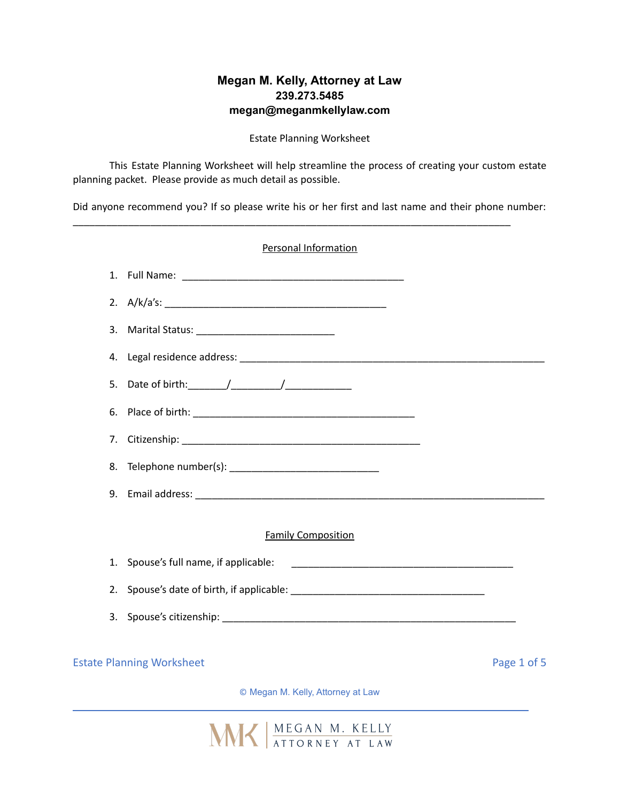## **Megan M. Kelly, Attorney at Law 239.273.5485 megan@meganmkellylaw.com**

Estate Planning Worksheet

This Estate Planning Worksheet will help streamline the process of creating your custom estate planning packet. Please provide as much detail as possible.

Did anyone recommend you? If so please write his or her first and last name and their phone number:

\_\_\_\_\_\_\_\_\_\_\_\_\_\_\_\_\_\_\_\_\_\_\_\_\_\_\_\_\_\_\_\_\_\_\_\_\_\_\_\_\_\_\_\_\_\_\_\_\_\_\_\_\_\_\_\_\_\_\_\_\_\_\_\_\_\_\_\_\_\_\_\_\_\_\_\_\_\_\_

|    | <b>Personal Information</b>                                                                                                                                |             |
|----|------------------------------------------------------------------------------------------------------------------------------------------------------------|-------------|
|    |                                                                                                                                                            |             |
|    |                                                                                                                                                            |             |
| 3. |                                                                                                                                                            |             |
| 4. |                                                                                                                                                            |             |
| 5. |                                                                                                                                                            |             |
| 6. |                                                                                                                                                            |             |
| 7. |                                                                                                                                                            |             |
| 8. |                                                                                                                                                            |             |
| 9. |                                                                                                                                                            |             |
|    |                                                                                                                                                            |             |
|    | <b>Family Composition</b>                                                                                                                                  |             |
| 1. | Spouse's full name, if applicable:<br><u> 1980 - Jan James James Barnett, amerikan basar pada 1980 - James James James James James James James James J</u> |             |
| 2. |                                                                                                                                                            |             |
| 3. |                                                                                                                                                            |             |
|    |                                                                                                                                                            |             |
|    | <b>Estate Planning Worksheet</b>                                                                                                                           | Page 1 of 5 |

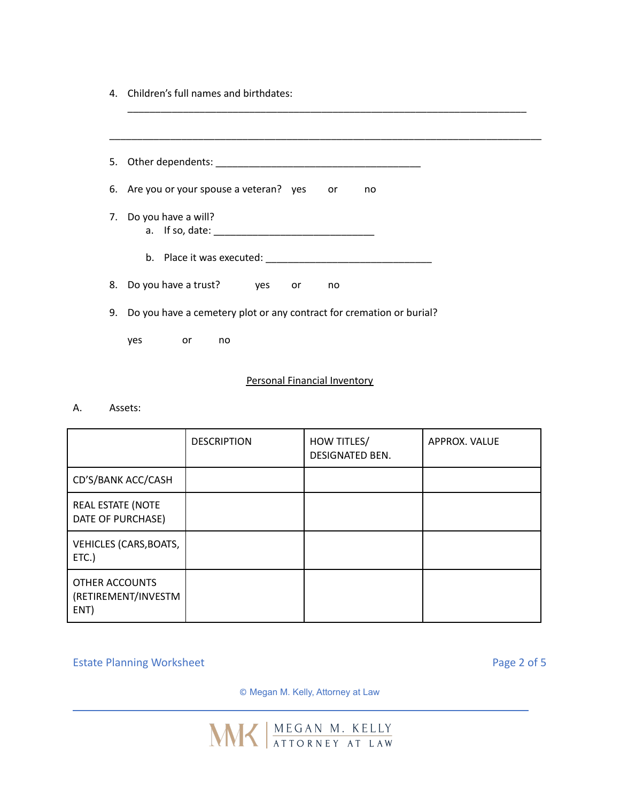4. Children's full names and birthdates:

| 5. | Other dependents: National Contract of the Contract of the Contract of the Contract of the Contract of the Contract of the Contract of the Contract of the Contract of the Contract of the Contract of the Contract of the Con |
|----|--------------------------------------------------------------------------------------------------------------------------------------------------------------------------------------------------------------------------------|
| 6. | Are you or your spouse a veteran? yes or<br>no                                                                                                                                                                                 |
| 7. | Do you have a will?                                                                                                                                                                                                            |
|    |                                                                                                                                                                                                                                |
| 8. | Do you have a trust?<br>yes or<br>no                                                                                                                                                                                           |
| 9. | Do you have a cemetery plot or any contract for cremation or burial?                                                                                                                                                           |
|    | yes<br>or<br>no                                                                                                                                                                                                                |

\_\_\_\_\_\_\_\_\_\_\_\_\_\_\_\_\_\_\_\_\_\_\_\_\_\_\_\_\_\_\_\_\_\_\_\_\_\_\_\_\_\_\_\_\_\_\_\_\_\_\_\_\_\_\_\_\_\_\_\_\_\_\_\_\_\_\_\_\_\_\_\_

## Personal Financial Inventory

A. Assets:

|                                               | <b>DESCRIPTION</b> | HOW TITLES/<br><b>DESIGNATED BEN.</b> | APPROX. VALUE |
|-----------------------------------------------|--------------------|---------------------------------------|---------------|
| CD'S/BANK ACC/CASH                            |                    |                                       |               |
| REAL ESTATE (NOTE<br>DATE OF PURCHASE)        |                    |                                       |               |
| VEHICLES (CARS, BOATS,<br>ETC.                |                    |                                       |               |
| OTHER ACCOUNTS<br>(RETIREMENT/INVESTM<br>ENT) |                    |                                       |               |

Estate Planning Worksheet **Page 2 of 5** and 2 of 5

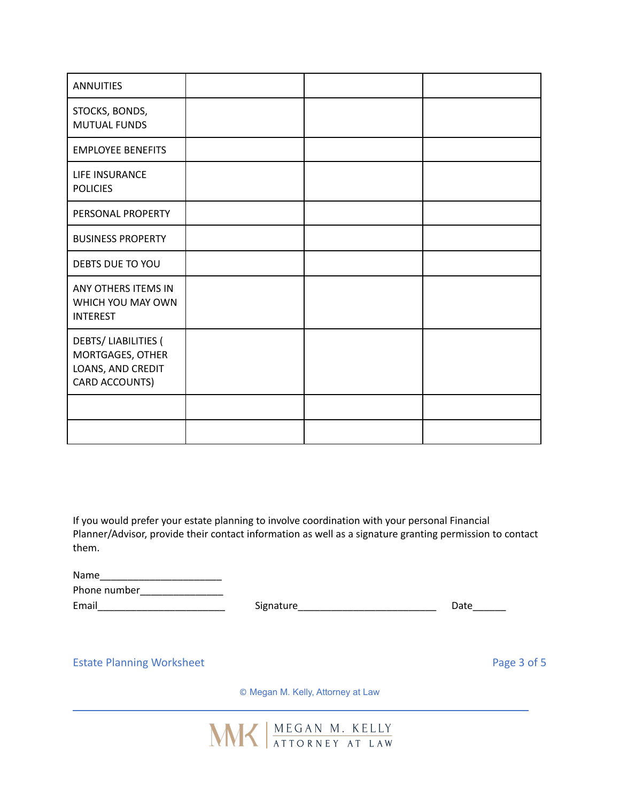| <b>ANNUITIES</b>                                                                      |  |  |
|---------------------------------------------------------------------------------------|--|--|
| STOCKS, BONDS,<br><b>MUTUAL FUNDS</b>                                                 |  |  |
| <b>EMPLOYEE BENEFITS</b>                                                              |  |  |
| LIFE INSURANCE<br><b>POLICIES</b>                                                     |  |  |
| PERSONAL PROPERTY                                                                     |  |  |
| <b>BUSINESS PROPERTY</b>                                                              |  |  |
| DEBTS DUE TO YOU                                                                      |  |  |
| ANY OTHERS ITEMS IN<br>WHICH YOU MAY OWN<br><b>INTEREST</b>                           |  |  |
| <b>DEBTS/LIABILITIES (</b><br>MORTGAGES, OTHER<br>LOANS, AND CREDIT<br>CARD ACCOUNTS) |  |  |
|                                                                                       |  |  |
|                                                                                       |  |  |

If you would prefer your estate planning to involve coordination with your personal Financial Planner/Advisor, provide their contact information as well as a signature granting permission to contact them.

| Name         |     |
|--------------|-----|
| Phone number |     |
| Email        | Sig |

Email\_\_\_\_\_\_\_\_\_\_\_\_\_\_\_\_\_\_\_\_\_\_\_ Signature\_\_\_\_\_\_\_\_\_\_\_\_\_\_\_\_\_\_\_\_\_\_\_\_\_ Date\_\_\_\_\_\_

Estate Planning Worksheet **Page 3 of 5** and 2 and 2 and 2 and 2 and 2 and 2 and 2 and 2 and 2 and 2 and 2 and 2 and 2 and 2 and 2 and 2 and 2 and 2 and 2 and 2 and 2 and 2 and 2 and 2 and 2 and 2 and 2 and 2 and 2 and 2 an

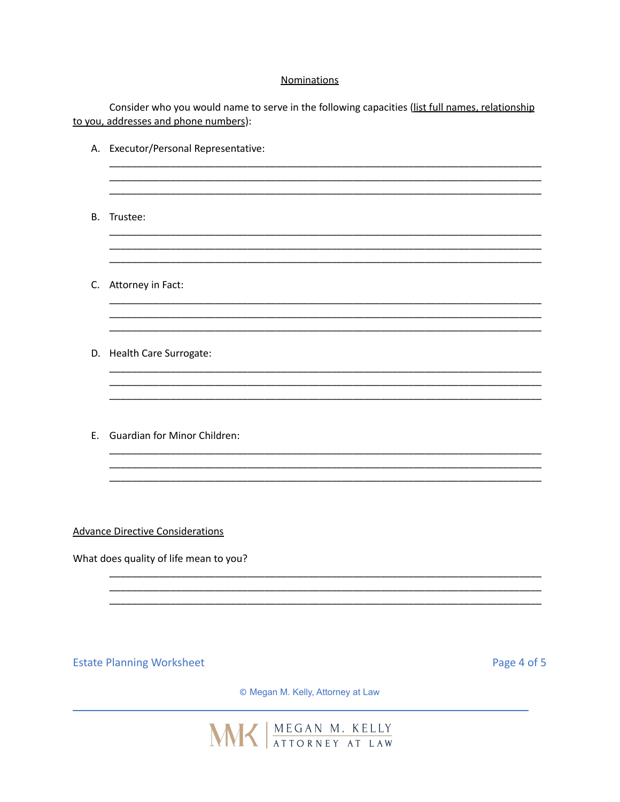## **Nominations**

Consider who you would name to serve in the following capacities (list full names, relationship to you, addresses and phone numbers):

|           | A. Executor/Personal Representative:                                              |             |
|-----------|-----------------------------------------------------------------------------------|-------------|
| <b>B.</b> | Trustee:                                                                          |             |
|           | C. Attorney in Fact:                                                              |             |
|           | D. Health Care Surrogate:                                                         |             |
| E.        | <b>Guardian for Minor Children:</b>                                               |             |
|           | <b>Advance Directive Considerations</b><br>What does quality of life mean to you? |             |
|           |                                                                                   |             |
|           | <b>Estate Planning Worksheet</b>                                                  | Page 4 of 5 |